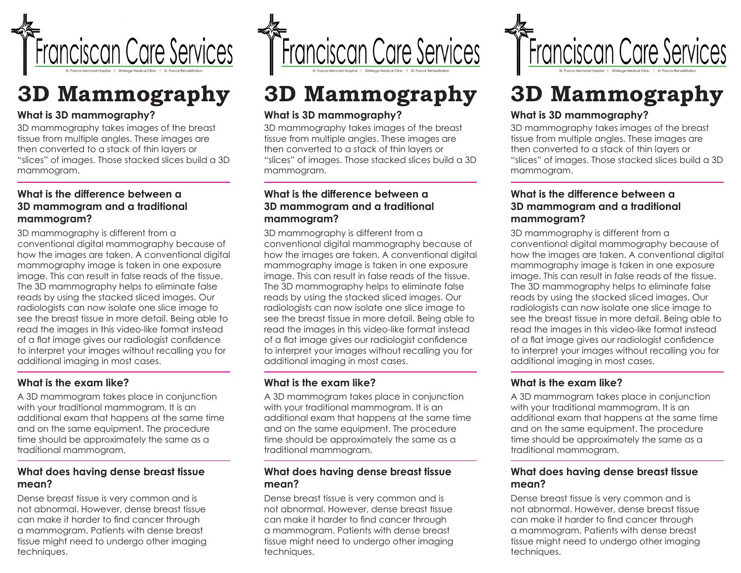

# **3D Mammography**

## **What is 3D mammography?**

3D mammography takes images of the breast tissue from multiple angles. These images are then converted to a stack of thin layers or "slices" of images. Those stacked slices build a 3D mammogram.

### **What is the difference between a 3D mammogram and a traditional mammogram?**

3D mammography is different from a conventional digital mammography because of how the images are taken. A conventional digital mammography image is taken in one exposure image. This can result in false reads of the tissue. The 3D mammography helps to eliminate false reads by using the stacked sliced images. Our radiologists can now isolate one slice image to see the breast tissue in more detail. Being able to read the images in this video-like format instead of a flat image gives our radiologist confidence to interpret your images without recalling you for additional imaging in most cases.

#### **What is the exam like?**

A 3D mammogram takes place in conjunction with your traditional mammogram. It is an additional exam that happens at the same time and on the same equipment. The procedure time should be approximately the same as a traditional mammogram.

#### **What does having dense breast tissue mean?**

Dense breast tissue is very common and is not abnormal. However, dense breast tissue can make it harder to find cancer through a mammogram. Patients with dense breast tissue might need to undergo other imaging techniques.